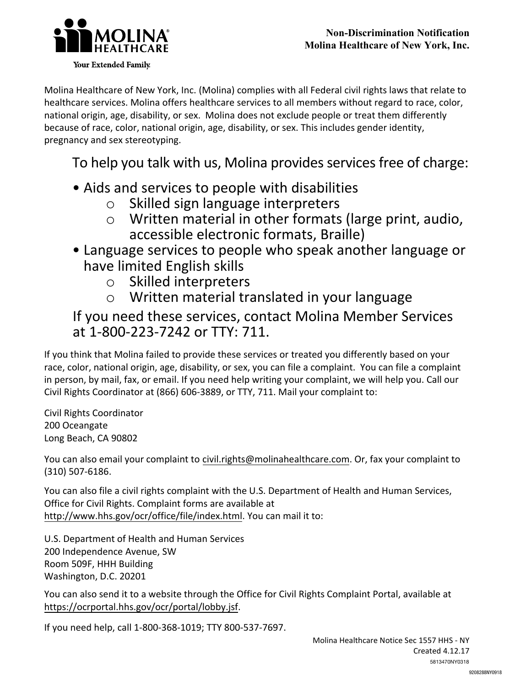

Molina Healthcare of New York, Inc. (Molina) complies with all Federal civil rights laws that relate to healthcare services. Molina offers healthcare services to all members without regard to race, color, national origin, age, disability, or sex. Molina does not exclude people or treat them differently because of race, color, national origin, age, disability, or sex. This includes gender identity, pregnancy and sex stereotyping.

## To help you talk with us, Molina provides services free of charge:

- Aids and services to people with disabilities
	- o Skilled sign language interpreters
	- o Written material in other formats (large print, audio, accessible electronic formats, Braille)
- Language services to people who speak another language or have limited English skills
	- o Skilled interpreters
	- o Written material translated in your language

## If you need these services, contact Molina Member Services at 1-800-223-7242 or TTY: 711.

If you think that Molina failed to provide these services or treated you differently based on your race, color, national origin, age, disability, or sex, you can file a complaint. You can file a complaint in person, by mail, fax, or email. If you need help writing your complaint, we will help you. Call our Civil Rights Coordinator at (866) 606-3889, or TTY, 711. Mail your complaint to:

Civil Rights Coordinator 200 Oceangate Long Beach, CA 90802

You can also email your complaint to civil.rights@molinahealthcare.com. Or, fax your complaint to (310) 507-6186.

You can also file a civil rights complaint with the U.S. Department of Health and Human Services, Office for Civil Rights. Complaint forms are available at http://www.hhs.gov/ocr/office/file/index.html. You can mail it to:

U.S. Department of Health and Human Services 200 Independence Avenue, SW Room 509F, HHH Building Washington, D.C. 20201

You can also send it to a website through the Office for Civil Rights Complaint Portal, available at https://ocrportal.hhs.gov/ocr/portal/lobby.jsf.

If you need help, call 1-800-368-1019; TTY 800-537-7697.